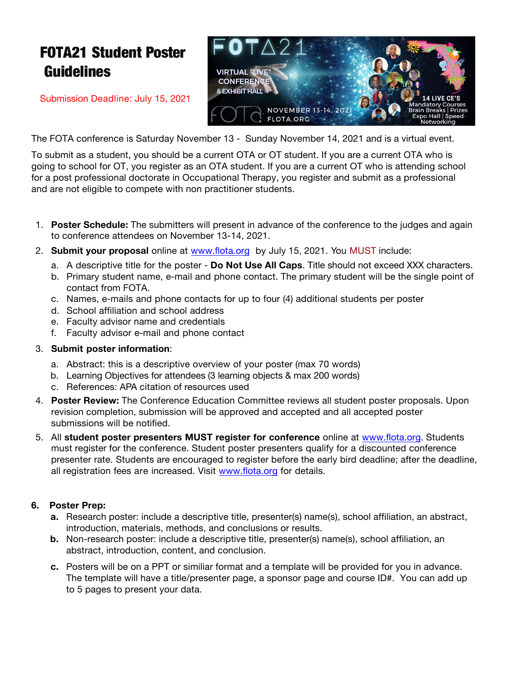# FOTA21 Student Poster Guidelines

Submission Deadline: July 15, 2021



The FOTA conference is Saturday November 13 - Sunday November 14, 2021 and is a virtual event.

To submit as a student, you should be a current OTA or OT student. If you are a current OTA who is going to school for OT, you register as an OTA student. If you are a current OT who is attending school for a post professional doctorate in Occupational Therapy, you register and submit as a professional and are not eligible to compete with non practitioner students.

- 1. **Poster Schedule:** The submitters will present in advance of the conference to the judges and again to conference attendees on November 13-14, 2021.
- 2. **Submit your proposal** online at www.flota.org by July 15, 2021. You MUST include:
	- a. A descriptive title for the poster **Do Not Use All Caps**. Title should not exceed XXX characters.
	- b. Primary student name, e-mail and phone contact. The primary student will be the single point of contact from FOTA.
	- c. Names, e-mails and phone contacts for up to four (4) additional students per poster
	- d. School affiliation and school address
	- e. Faculty advisor name and credentials
	- f. Faculty advisor e-mail and phone contact

#### 3. **Submit poster information**:

- a. Abstract: this is a descriptive overview of your poster (max 70 words)
- b. Learning Objectives for attendees (3 learning objects & max 200 words)
- c. References: APA citation of resources used
- 4. **Poster Review:** The Conference Education Committee reviews all student poster proposals. Upon revision completion, submission will be approved and accepted and all accepted poster submissions will be notified.
- 5. All **student poster presenters MUST register for conference** online at www.flota.org. Students must register for the conference. Student poster presenters qualify for a discounted conference presenter rate. Students are encouraged to register before the early bird deadline; after the deadline, all registration fees are increased. Visit www.flota.org for details.

### **6. Poster Prep:**

- **a.** Research poster: include a descriptive title, presenter(s) name(s), school affiliation, an abstract, introduction, materials, methods, and conclusions or results.
- **b.** Non-research poster: include a descriptive title, presenter(s) name(s), school affiliation, an abstract, introduction, content, and conclusion.
- **c.** Posters will be on a PPT or similiar format and a template will be provided for you in advance. The template will have a title/presenter page, a sponsor page and course ID#. You can add up to 5 pages to present your data.